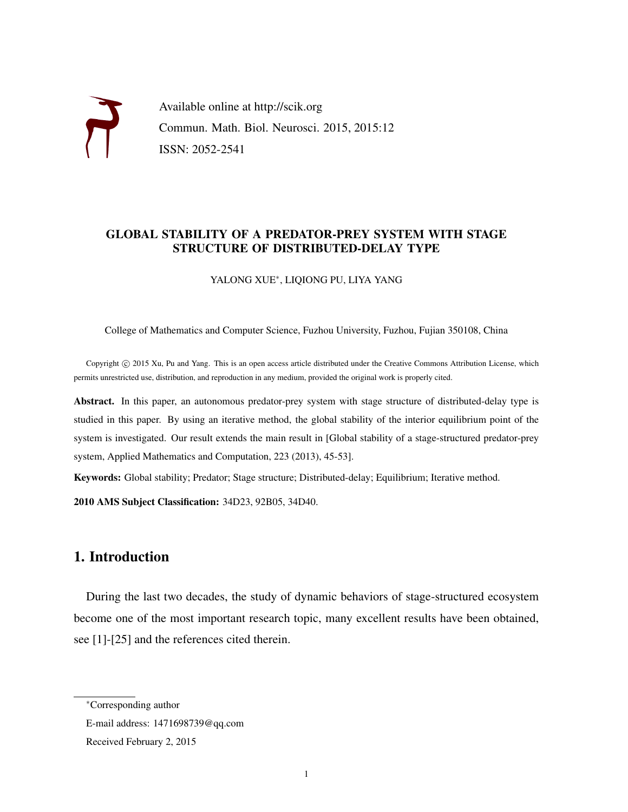

Available online at http://scik.org Commun. Math. Biol. Neurosci. 2015, 2015:12 ISSN: 2052-2541

## GLOBAL STABILITY OF A PREDATOR-PREY SYSTEM WITH STAGE STRUCTURE OF DISTRIBUTED-DELAY TYPE

YALONG XUE<sup>∗</sup> , LIQIONG PU, LIYA YANG

College of Mathematics and Computer Science, Fuzhou University, Fuzhou, Fujian 350108, China

Copyright © 2015 Xu, Pu and Yang. This is an open access article distributed under the Creative Commons Attribution License, which permits unrestricted use, distribution, and reproduction in any medium, provided the original work is properly cited.

Abstract. In this paper, an autonomous predator-prey system with stage structure of distributed-delay type is studied in this paper. By using an iterative method, the global stability of the interior equilibrium point of the system is investigated. Our result extends the main result in [Global stability of a stage-structured predator-prey system, Applied Mathematics and Computation, 223 (2013), 45-53].

Keywords: Global stability; Predator; Stage structure; Distributed-delay; Equilibrium; Iterative method.

2010 AMS Subject Classification: 34D23, 92B05, 34D40.

# 1. Introduction

During the last two decades, the study of dynamic behaviors of stage-structured ecosystem become one of the most important research topic, many excellent results have been obtained, see [1]-[25] and the references cited therein.

<sup>∗</sup>Corresponding author

E-mail address: 1471698739@qq.com

Received February 2, 2015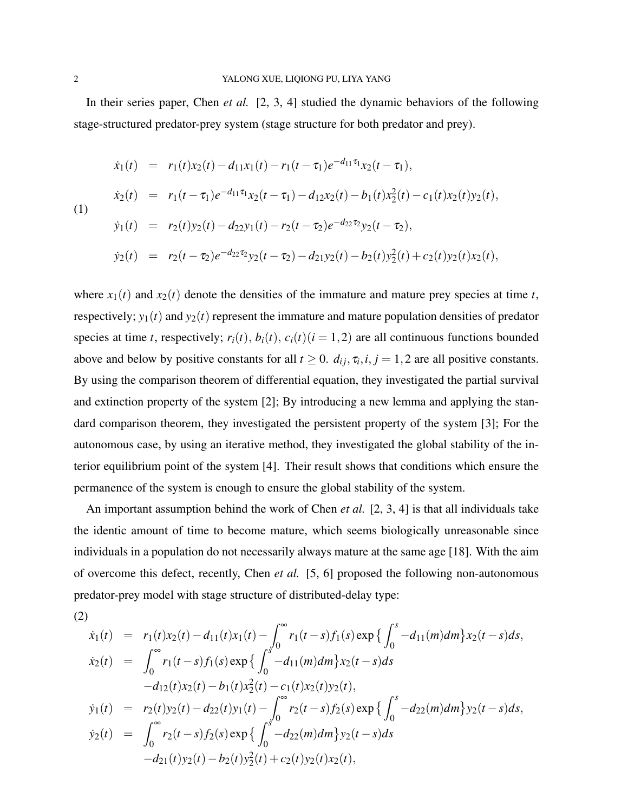In their series paper, Chen *et al.* [2, 3, 4] studied the dynamic behaviors of the following stage-structured predator-prey system (stage structure for both predator and prey).

$$
\dot{x}_1(t) = r_1(t)x_2(t) - d_{11}x_1(t) - r_1(t - \tau_1)e^{-d_{11}\tau_1}x_2(t - \tau_1),
$$
\n
$$
\dot{x}_2(t) = r_1(t - \tau_1)e^{-d_{11}\tau_1}x_2(t - \tau_1) - d_{12}x_2(t) - b_1(t)x_2(t) - c_1(t)x_2(t)y_2(t),
$$
\n
$$
\dot{y}_1(t) = r_2(t)y_2(t) - d_{22}y_1(t) - r_2(t - \tau_2)e^{-d_{22}\tau_2}y_2(t - \tau_2),
$$
\n
$$
\dot{y}_2(t) = r_2(t - \tau_2)e^{-d_{22}\tau_2}y_2(t - \tau_2) - d_{21}y_2(t) - b_2(t)y_2(t) + c_2(t)y_2(t)x_2(t),
$$

where  $x_1(t)$  and  $x_2(t)$  denote the densities of the immature and mature prey species at time *t*, respectively;  $y_1(t)$  and  $y_2(t)$  represent the immature and mature population densities of predator species at time *t*, respectively;  $r_i(t)$ ,  $b_i(t)$ ,  $c_i(t)$  ( $i = 1, 2$ ) are all continuous functions bounded above and below by positive constants for all  $t \ge 0$ .  $d_{ij}, \tau_i, i, j = 1, 2$  are all positive constants. By using the comparison theorem of differential equation, they investigated the partial survival and extinction property of the system [2]; By introducing a new lemma and applying the standard comparison theorem, they investigated the persistent property of the system [3]; For the autonomous case, by using an iterative method, they investigated the global stability of the interior equilibrium point of the system [4]. Their result shows that conditions which ensure the permanence of the system is enough to ensure the global stability of the system.

An important assumption behind the work of Chen *et al.* [2, 3, 4] is that all individuals take the identic amount of time to become mature, which seems biologically unreasonable since individuals in a population do not necessarily always mature at the same age [18]. With the aim of overcome this defect, recently, Chen *et al.* [5, 6] proposed the following non-autonomous predator-prey model with stage structure of distributed-delay type:

(2)  
\n
$$
\dot{x}_1(t) = r_1(t)x_2(t) - d_{11}(t)x_1(t) - \int_0^\infty r_1(t-s)f_1(s) \exp\left\{\int_0^s -d_{11}(m)dm\right\}x_2(t-s)ds,
$$
\n
$$
\dot{x}_2(t) = \int_0^\infty r_1(t-s)f_1(s) \exp\left\{\int_0^s -d_{11}(m)dm\right\}x_2(t-s)ds
$$
\n
$$
-d_{12}(t)x_2(t) - b_1(t)x_2^2(t) - c_1(t)x_2(t)y_2(t),
$$
\n
$$
\dot{y}_1(t) = r_2(t)y_2(t) - d_{22}(t)y_1(t) - \int_0^\infty r_2(t-s)f_2(s) \exp\left\{\int_0^s -d_{22}(m)dm\right\}y_2(t-s)ds,
$$
\n
$$
\dot{y}_2(t) = \int_0^\infty r_2(t-s)f_2(s) \exp\left\{\int_0^s -d_{22}(m)dm\right\}y_2(t-s)ds
$$
\n
$$
-d_{21}(t)y_2(t) - b_2(t)y_2^2(t) + c_2(t)y_2(t)x_2(t),
$$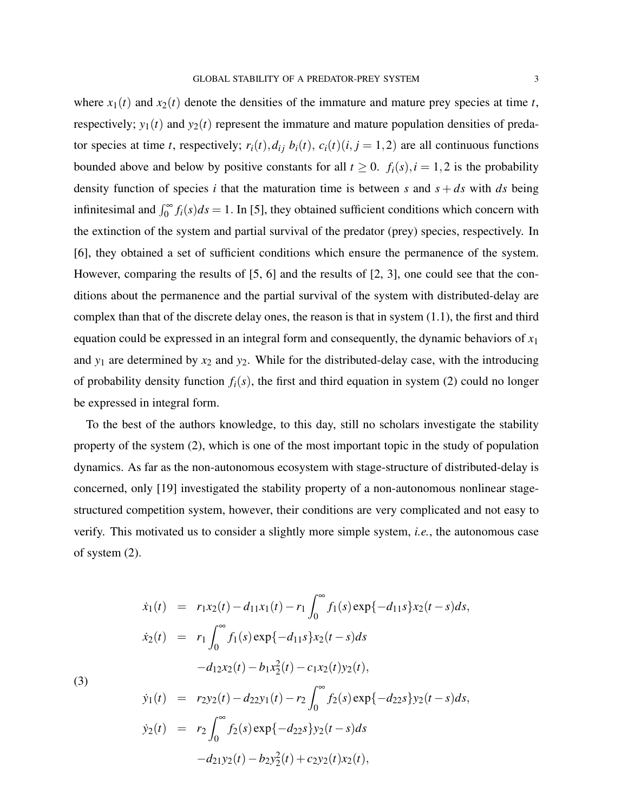where  $x_1(t)$  and  $x_2(t)$  denote the densities of the immature and mature prey species at time *t*, respectively;  $y_1(t)$  and  $y_2(t)$  represent the immature and mature population densities of predator species at time *t*, respectively;  $r_i(t)$ ,  $d_{ij}$   $b_i(t)$ ,  $c_i(t)(i, j = 1, 2)$  are all continuous functions bounded above and below by positive constants for all  $t \ge 0$ .  $f_i(s)$ ,  $i = 1,2$  is the probability density function of species *i* that the maturation time is between *s* and  $s + ds$  with *ds* being infinitesimal and  $\int_0^\infty f_i(s)ds = 1$ . In [5], they obtained sufficient conditions which concern with the extinction of the system and partial survival of the predator (prey) species, respectively. In [6], they obtained a set of sufficient conditions which ensure the permanence of the system. However, comparing the results of [5, 6] and the results of [2, 3], one could see that the conditions about the permanence and the partial survival of the system with distributed-delay are complex than that of the discrete delay ones, the reason is that in system (1.1), the first and third equation could be expressed in an integral form and consequently, the dynamic behaviors of *x*<sup>1</sup> and  $y_1$  are determined by  $x_2$  and  $y_2$ . While for the distributed-delay case, with the introducing of probability density function  $f_i(s)$ , the first and third equation in system (2) could no longer be expressed in integral form.

To the best of the authors knowledge, to this day, still no scholars investigate the stability property of the system (2), which is one of the most important topic in the study of population dynamics. As far as the non-autonomous ecosystem with stage-structure of distributed-delay is concerned, only [19] investigated the stability property of a non-autonomous nonlinear stagestructured competition system, however, their conditions are very complicated and not easy to verify. This motivated us to consider a slightly more simple system, *i.e.*, the autonomous case of system (2).

 $\sim$ 

$$
\dot{x}_1(t) = r_1x_2(t) - d_{11}x_1(t) - r_1 \int_0^t f_1(s) \exp\{-d_{11}s\}x_2(t-s)ds,
$$
  
\n
$$
\dot{x}_2(t) = r_1 \int_0^\infty f_1(s) \exp\{-d_{11}s\}x_2(t-s)ds
$$
  
\n
$$
-d_{12}x_2(t) - b_1x_2(t) - c_1x_2(t)y_2(t),
$$
  
\n
$$
\dot{y}_1(t) = r_2y_2(t) - d_{22}y_1(t) - r_2 \int_0^\infty f_2(s) \exp\{-d_{22}s\}y_2(t-s)ds,
$$
  
\n
$$
\dot{y}_2(t) = r_2 \int_0^\infty f_2(s) \exp\{-d_{22}s\}y_2(t-s)ds
$$
  
\n
$$
-d_{21}y_2(t) - b_{2}y_2(t) + c_{2}y_2(t)x_2(t),
$$

(3)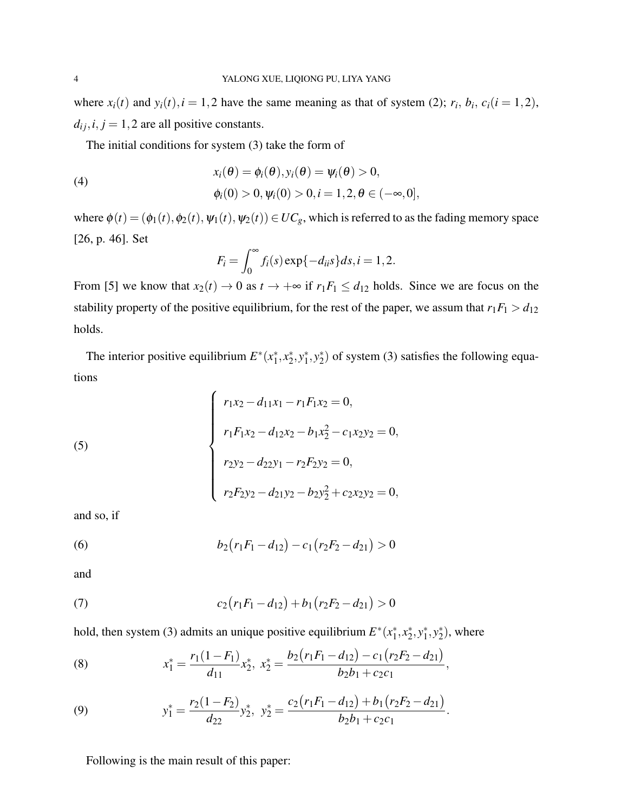where  $x_i(t)$  and  $y_i(t)$ ,  $i = 1, 2$  have the same meaning as that of system (2);  $r_i$ ,  $b_i$ ,  $c_i(i = 1, 2)$ ,  $d_{ij}$ ,  $i$ ,  $j = 1, 2$  are all positive constants.

The initial conditions for system (3) take the form of

(4)  

$$
x_i(\theta) = \phi_i(\theta), y_i(\theta) = \psi_i(\theta) > 0,
$$

$$
\phi_i(0) > 0, \psi_i(0) > 0, i = 1, 2, \theta \in (-\infty, 0],
$$

where  $\phi(t) = (\phi_1(t), \phi_2(t), \psi_1(t), \psi_2(t)) \in UC_g$ , which is referred to as the fading memory space [26, p. 46]. Set

$$
F_i = \int_0^\infty f_i(s) \exp\{-d_{ii}s\} ds, i = 1, 2.
$$

From [5] we know that  $x_2(t) \to 0$  as  $t \to +\infty$  if  $r_1F_1 \le d_{12}$  holds. Since we are focus on the stability property of the positive equilibrium, for the rest of the paper, we assum that  $r_1F_1 > d_{12}$ holds.

The interior positive equilibrium  $E^*(x_1^*)$  $_1^*, x_2^*$  $x_2^*, y_1^*$  $j^*, y_2^*$  $_{2}^{*}$ ) of system (3) satisfies the following equations

(5)  

$$
\begin{cases}\nr_1x_2 - d_{11}x_1 - r_1F_1x_2 = 0, \\
r_1F_1x_2 - d_{12}x_2 - b_1x_2^2 - c_1x_2y_2 = 0, \\
r_2y_2 - d_{22}y_1 - r_2F_2y_2 = 0, \\
r_2F_2y_2 - d_{21}y_2 - b_2y_2^2 + c_2x_2y_2 = 0,\n\end{cases}
$$

and so, if

(6) 
$$
b_2(r_1F_1-d_{12})-c_1(r_2F_2-d_{21})>0
$$

and

(7) 
$$
c_2(r_1F_1-d_{12})+b_1(r_2F_2-d_{21})>0
$$

hold, then system (3) admits an unique positive equilibrium  $E^*(x_1^*)$  $_1^*, x_2^*$  $x_2^*, y_1^*$  $j^*, y_2^*$  $_{2}^{*}$ ), where

(8) 
$$
x_1^* = \frac{r_1(1 - F_1)}{d_{11}} x_2^*, \ x_2^* = \frac{b_2(r_1F_1 - d_{12}) - c_1(r_2F_2 - d_{21})}{b_2b_1 + c_2c_1},
$$

(9) 
$$
y_1^* = \frac{r_2(1-F_2)}{d_{22}}y_2^*, \ y_2^* = \frac{c_2(r_1F_1-d_{12})+b_1(r_2F_2-d_{21})}{b_2b_1+c_2c_1}.
$$

Following is the main result of this paper: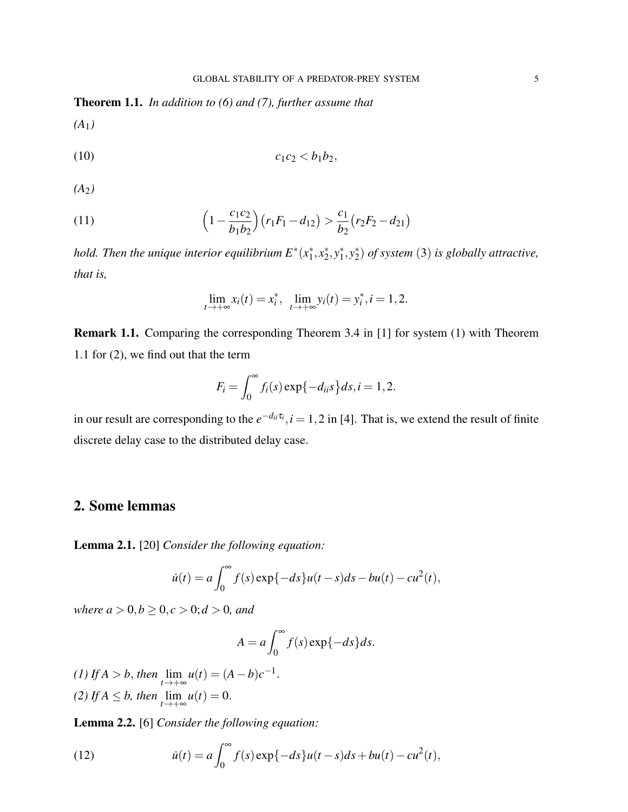Theorem 1.1. *In addition to (6) and (7), further assume that*

*(A*1*)*

$$
(10) \t\t\t c_1c_2 < b_1b_2,
$$

*(A*2*)*

(11) 
$$
\left(1 - \frac{c_1 c_2}{b_1 b_2}\right) \left(r_1 F_1 - d_{12}\right) > \frac{c_1}{b_2} \left(r_2 F_2 - d_{21}\right)
$$

*hold. Then the unique interior equilibrium E*<sup>∗</sup> (*x* ∗  $x_1^*, x_2^*$  $2^*$ ,  $y_1^*$  $j^*, y_2^*$ 2 ) *of system* (3) *is globally attractive, that is,*

$$
\lim_{t \to +\infty} x_i(t) = x_i^*, \ \ \lim_{t \to +\infty} y_i(t) = y_i^*, i = 1, 2.
$$

Remark 1.1. Comparing the corresponding Theorem 3.4 in [1] for system (1) with Theorem 1.1 for (2), we find out that the term

$$
F_i = \int_0^\infty f_i(s) \exp\{-d_{ii}s\} ds, i = 1, 2.
$$

in our result are corresponding to the  $e^{-d_{ii}\tau_i}$ ,  $i = 1, 2$  in [4]. That is, we extend the result of finite discrete delay case to the distributed delay case.

# 2. Some lemmas

Lemma 2.1. [20] *Consider the following equation:*

$$
\dot{u}(t) = a \int_0^{\infty} f(s) \exp\{-ds\} u(t-s) ds - bu(t) - cu^2(t),
$$

*where*  $a > 0, b \ge 0, c > 0; d > 0$ *, and* 

$$
A = a \int_0^\infty f(s) \exp\{-ds\} ds.
$$

*(1) If*  $A > b$ , *then*  $\lim_{t \to +\infty} u(t) = (A - b)c^{-1}$ . (2) If  $A \leq b$ , then  $\lim_{t \to +\infty} u(t) = 0$ .

Lemma 2.2. [6] *Consider the following equation:*

(12) 
$$
\dot{u}(t) = a \int_0^\infty f(s) \exp\{-ds\} u(t-s) ds + bu(t) - cu^2(t),
$$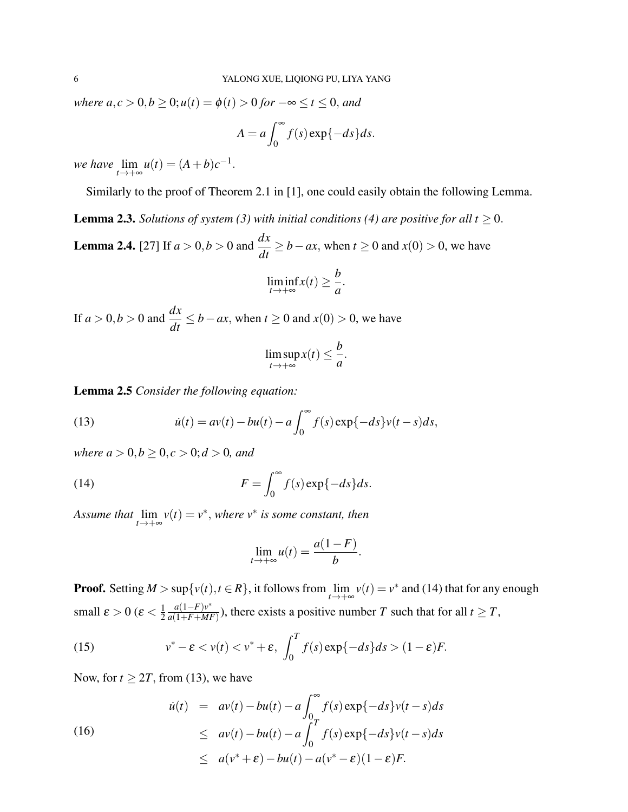*where*  $a, c > 0, b \ge 0$ ;  $u(t) = \phi(t) > 0$  *for*  $-\infty \le t \le 0$ , and

$$
A = a \int_0^\infty f(s) \exp\{-ds\} ds.
$$

*we have*  $\lim_{t \to +\infty} u(t) = (A+b)c^{-1}$ .

Similarly to the proof of Theorem 2.1 in [1], one could easily obtain the following Lemma.

**Lemma 2.3.** *Solutions of system (3) with initial conditions (4) are positive for all t*  $\geq$  0.

**Lemma 2.4.** [27] If *a* > 0,*b* > 0 and  $\frac{dx}{dt}$  ≥ *b*−*ax*, when *t* ≥ 0 and *x*(0) > 0, we have

$$
\liminf_{t\to+\infty}x(t)\geq\frac{b}{a}.
$$

If  $a > 0, b > 0$  and  $\frac{dx}{dt} \le b - ax$ , when  $t \ge 0$  and  $x(0) > 0$ , we have

$$
\limsup_{t\to+\infty} x(t)\leq \frac{b}{a}.
$$

Lemma 2.5 *Consider the following equation:*

(13) 
$$
\dot{u}(t) = av(t) - bu(t) - a \int_0^\infty f(s) \exp\{-ds\} v(t-s) ds,
$$

*where*  $a > 0, b \ge 0, c > 0; d > 0$ *, and* 

(14) 
$$
F = \int_0^\infty f(s) \exp\{-ds\} ds.
$$

*Assume that*  $\lim_{t\to+\infty} v(t) = v^*$ , *where*  $v^*$  *is some constant, then* 

$$
\lim_{t\to+\infty}u(t)=\frac{a(1-F)}{b}.
$$

**Proof.** Setting  $M > \sup\{v(t), t \in R\}$ , it follows from  $\lim_{t \to +\infty} v(t) = v^*$  and (14) that for any enough small  $\varepsilon > 0$  ( $\varepsilon < \frac{1}{2}$ ) 2 *a*(1−*F*)*v* ∗  $\frac{a(1-F)y}{a(1+F+MF)}$ ), there exists a positive number *T* such that for all  $t \geq T$ ,

(15) 
$$
v^* - \varepsilon < v(t) < v^* + \varepsilon, \int_0^T f(s) \exp\{-ds\} ds > (1 - \varepsilon)F.
$$

Now, for  $t \geq 2T$ , from (13), we have

(16)  
\n
$$
\begin{array}{rcl}\n\dot{u}(t) & = & av(t) - bu(t) - a \int_0^\infty f(s) \exp\{-ds\} v(t-s) ds \\
& \leq & av(t) - bu(t) - a \int_0^T f(s) \exp\{-ds\} v(t-s) ds \\
& \leq & a(v^* + \varepsilon) - bu(t) - a(v^* - \varepsilon)(1-\varepsilon)F.\n\end{array}
$$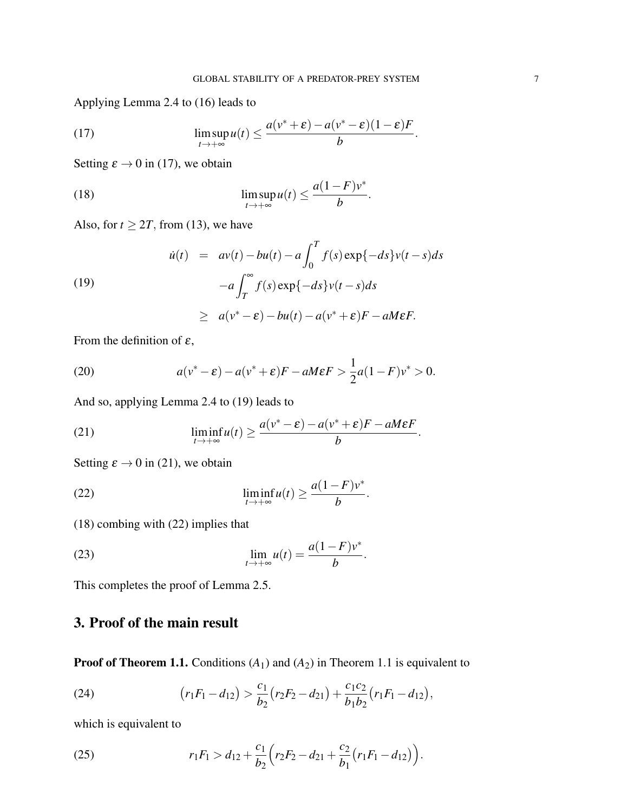.

.

Applying Lemma 2.4 to (16) leads to

(17) 
$$
\limsup_{t\to+\infty} u(t) \leq \frac{a(v^*+\varepsilon)-a(v^*-\varepsilon)(1-\varepsilon)F}{b}
$$

Setting  $\varepsilon \to 0$  in (17), we obtain

(18) 
$$
\limsup_{t\to+\infty} u(t) \leq \frac{a(1-F)v^*}{b}.
$$

Also, for  $t \geq 2T$ , from (13), we have

(19)  

$$
\dot{u}(t) = av(t) - bu(t) - a \int_0^T f(s) \exp\{-ds\} v(t-s) ds - a \int_T^{\infty} f(s) \exp\{-ds\} v(t-s) ds
$$

$$
\geq a(v^* - \varepsilon) - bu(t) - a(v^* + \varepsilon)F - aMEF.
$$

From the definition of  $\varepsilon$ ,

(20) 
$$
a(v^* - \varepsilon) - a(v^* + \varepsilon)F - aM\varepsilon F > \frac{1}{2}a(1 - F)v^* > 0.
$$

And so, applying Lemma 2.4 to (19) leads to

(21) 
$$
\liminf_{t \to +\infty} u(t) \ge \frac{a(v^* - \varepsilon) - a(v^* + \varepsilon)F - aM\varepsilon F}{b}
$$

Setting  $\varepsilon \to 0$  in (21), we obtain

(22) 
$$
\liminf_{t \to +\infty} u(t) \geq \frac{a(1-F)v^*}{b}.
$$

(18) combing with (22) implies that

(23) 
$$
\lim_{t \to +\infty} u(t) = \frac{a(1-F)v^*}{b}.
$$

This completes the proof of Lemma 2.5.

# 3. Proof of the main result

**Proof of Theorem 1.1.** Conditions  $(A_1)$  and  $(A_2)$  in Theorem 1.1 is equivalent to

(24) 
$$
(r_1F_1 - d_{12}) > \frac{c_1}{b_2}(r_2F_2 - d_{21}) + \frac{c_1c_2}{b_1b_2}(r_1F_1 - d_{12}),
$$

which is equivalent to

(25) 
$$
r_1F_1 > d_{12} + \frac{c_1}{b_2}\Big(r_2F_2 - d_{21} + \frac{c_2}{b_1}\big(r_1F_1 - d_{12}\big)\Big).
$$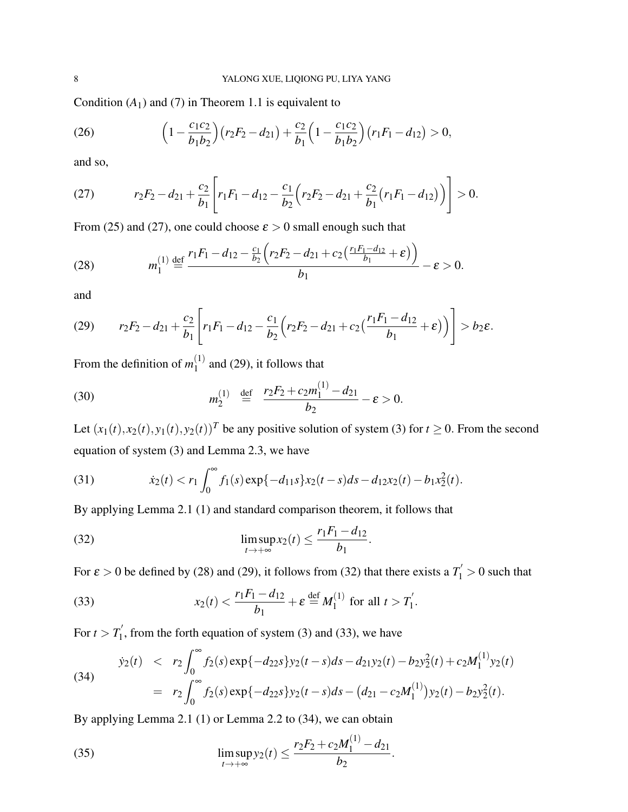Condition  $(A_1)$  and  $(7)$  in Theorem 1.1 is equivalent to

(26) 
$$
\left(1-\frac{c_1c_2}{b_1b_2}\right)\left(r_2F_2-d_{21}\right)+\frac{c_2}{b_1}\left(1-\frac{c_1c_2}{b_1b_2}\right)\left(r_1F_1-d_{12}\right)>0,
$$

and so,

(27) 
$$
r_2F_2-d_{21}+\frac{c_2}{b_1}\left[r_1F_1-d_{12}-\frac{c_1}{b_2}\left(r_2F_2-d_{21}+\frac{c_2}{b_1}(r_1F_1-d_{12})\right)\right]>0.
$$

From (25) and (27), one could choose  $\varepsilon > 0$  small enough such that

(28) 
$$
m_1^{(1)} \stackrel{\text{def}}{=} \frac{r_1 F_1 - d_{12} - \frac{c_1}{b_2} \left( r_2 F_2 - d_{21} + c_2 \left( \frac{r_1 F_1 - d_{12}}{b_1} + \varepsilon \right) \right)}{b_1} - \varepsilon > 0.
$$

and

(29) 
$$
r_2F_2-d_{21}+\frac{c_2}{b_1}\left[r_1F_1-d_{12}-\frac{c_1}{b_2}\left(r_2F_2-d_{21}+c_2\left(\frac{r_1F_1-d_{12}}{b_1}+\varepsilon\right)\right)\right]>b_2\varepsilon.
$$

From the definition of  $m_1^{(1)}$  $1^{(1)}$  and (29), it follows that

(30) 
$$
m_2^{(1)} \stackrel{\text{def}}{=} \frac{r_2 F_2 + c_2 m_1^{(1)} - d_{21}}{b_2} - \varepsilon > 0.
$$

Let  $(x_1(t), x_2(t), y_1(t), y_2(t))^T$  be any positive solution of system (3) for  $t \ge 0$ . From the second equation of system (3) and Lemma 2.3, we have

(31) 
$$
\dot{x}_2(t) < r_1 \int_0^\infty f_1(s) \exp\{-d_{11}s\} x_2(t-s) ds - d_{12}x_2(t) - b_1 x_2^2(t).
$$

By applying Lemma 2.1 (1) and standard comparison theorem, it follows that

(32) 
$$
\limsup_{t \to +\infty} x_2(t) \le \frac{r_1 F_1 - d_{12}}{b_1}.
$$

For  $\varepsilon > 0$  be defined by (28) and (29), it follows from (32) that there exists a  $T_1' > 0$  such that

(33) 
$$
x_2(t) < \frac{r_1 F_1 - d_{12}}{b_1} + \varepsilon \stackrel{\text{def}}{=} M_1^{(1)} \text{ for all } t > T_1'.
$$

For  $t > T_1'$  $\int_{1}^{\infty}$ , from the forth equation of system (3) and (33), we have

(34) 
$$
\dot{y}_2(t) < r_2 \int_0^\infty f_2(s) \exp\{-d_{22}s\} y_2(t-s) ds - d_{21} y_2(t) - b_2 y_2(t) + c_2 M_1^{(1)} y_2(t)
$$

$$
= r_2 \int_0^\infty f_2(s) \exp\{-d_{22}s\} y_2(t-s) ds - (d_{21} - c_2 M_1^{(1)}) y_2(t) - b_2 y_2(t).
$$

 $(1)$ 

By applying Lemma 2.1 (1) or Lemma 2.2 to (34), we can obtain

(35) 
$$
\limsup_{t\to+\infty}y_2(t)\leq \frac{r_2F_2+c_2M_1^{(1)}-d_{21}}{b_2}.
$$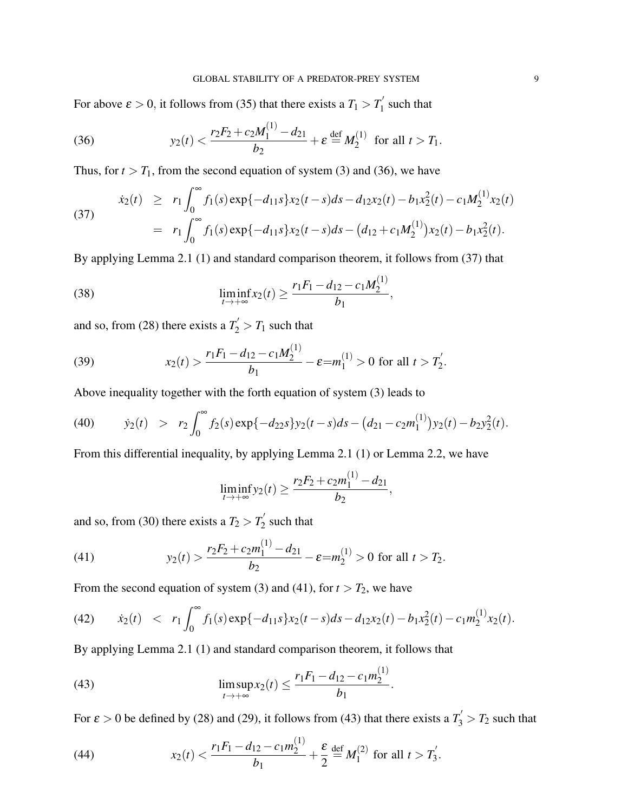For above  $\varepsilon > 0$ , it follows from (35) that there exists a  $T_1 > T_1'$  $\int_1$  such that

(36) 
$$
y_2(t) < \frac{r_2 F_2 + c_2 M_1^{(1)} - d_{21}}{b_2} + \varepsilon \stackrel{\text{def}}{=} M_2^{(1)} \text{ for all } t > T_1.
$$

Thus, for  $t > T_1$ , from the second equation of system (3) and (36), we have

(37) 
$$
\dot{x}_2(t) \ge r_1 \int_0^\infty f_1(s) \exp\{-d_{11}s\} x_2(t-s) ds - d_{12}x_2(t) - b_1 x_2(t) - c_1 M_2^{(1)} x_2(t)
$$

$$
= r_1 \int_0^\infty f_1(s) \exp\{-d_{11}s\} x_2(t-s) ds - (d_{12} + c_1 M_2^{(1)}) x_2(t) - b_1 x_2^2(t).
$$

By applying Lemma 2.1 (1) and standard comparison theorem, it follows from (37) that

(38) 
$$
\liminf_{t\to+\infty} x_2(t) \geq \frac{r_1F_1 - d_{12} - c_1M_2^{(1)}}{b_1},
$$

and so, from (28) there exists a  $T_2' > T_1$  such that

(39) 
$$
x_2(t) > \frac{r_1 F_1 - d_{12} - c_1 M_2^{(1)}}{b_1} - \varepsilon = m_1^{(1)} > 0 \text{ for all } t > T_2'.
$$

Above inequality together with the forth equation of system (3) leads to

(40) 
$$
\dot{y}_2(t) > r_2 \int_0^\infty f_2(s) \exp\{-d_{22}s\} y_2(t-s) ds - (d_{21} - c_2 m_1^{(1)}) y_2(t) - b_2 y_2^2(t).
$$

From this differential inequality, by applying Lemma 2.1 (1) or Lemma 2.2, we have

$$
\liminf_{t \to +\infty} y_2(t) \ge \frac{r_2 F_2 + c_2 m_1^{(1)} - d_{21}}{b_2},
$$

and so, from (30) there exists a  $T_2 > T_2^{'}$  $\frac{1}{2}$  such that

(41) 
$$
y_2(t) > \frac{r_2 F_2 + c_2 m_1^{(1)} - d_{21}}{b_2} - \varepsilon = m_2^{(1)} > 0 \text{ for all } t > T_2.
$$

From the second equation of system (3) and (41), for  $t > T_2$ , we have

(42) 
$$
\dot{x}_2(t) < r_1 \int_0^\infty f_1(s) \exp\{-d_{11}s\} x_2(t-s) ds - d_{12}x_2(t) - b_1 x_2(t) - c_1 m_2^{(1)} x_2(t).
$$

By applying Lemma 2.1 (1) and standard comparison theorem, it follows that

(43) 
$$
\limsup_{t\to+\infty} x_2(t) \leq \frac{r_1F_1-d_{12}-c_1m_2^{(1)}}{b_1}.
$$

For  $\varepsilon > 0$  be defined by (28) and (29), it follows from (43) that there exists a  $T_3' > T_2$  such that

(44) 
$$
x_2(t) < \frac{r_1 F_1 - d_{12} - c_1 m_2^{(1)}}{b_1} + \frac{\varepsilon}{2} \stackrel{\text{def}}{=} M_1^{(2)} \text{ for all } t > T_3'.
$$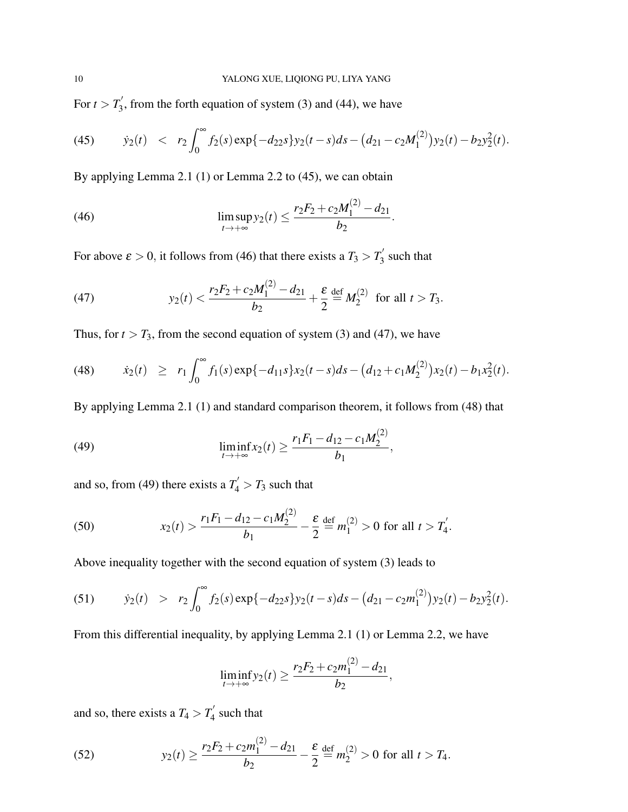For  $t > T'_3$  $\gamma_3$ , from the forth equation of system (3) and (44), we have

(45) 
$$
\dot{y}_2(t) < r_2 \int_0^\infty f_2(s) \exp\{-d_{22}s\} y_2(t-s) ds - (d_{21} - c_2 M_1^{(2)}) y_2(t) - b_2 y_2^{2}(t).
$$

By applying Lemma 2.1 (1) or Lemma 2.2 to (45), we can obtain

(46) 
$$
\limsup_{t\to+\infty}y_2(t)\leq \frac{r_2F_2+c_2M_1^{(2)}-d_{21}}{b_2}.
$$

For above  $\varepsilon > 0$ , it follows from (46) that there exists a  $T_3 > T_3'$  $\frac{1}{3}$  such that

(47) 
$$
y_2(t) < \frac{r_2 F_2 + c_2 M_1^{(2)} - d_{21}}{b_2} + \frac{\varepsilon}{2} \stackrel{\text{def}}{=} M_2^{(2)} \text{ for all } t > T_3.
$$

 $\lambda$ 

Thus, for  $t > T_3$ , from the second equation of system (3) and (47), we have

(48) 
$$
\dot{x}_2(t) \geq r_1 \int_0^\infty f_1(s) \exp\{-d_{11}s\} x_2(t-s) ds - (d_{12} + c_1 M_2^{(2)}) x_2(t) - b_1 x_2^2(t).
$$

By applying Lemma 2.1 (1) and standard comparison theorem, it follows from (48) that

(49) 
$$
\liminf_{t\to+\infty} x_2(t) \geq \frac{r_1F_1 - d_{12} - c_1M_2^{(2)}}{b_1},
$$

and so, from (49) there exists a  $T_4' > T_3$  such that

(50) 
$$
x_2(t) > \frac{r_1 F_1 - d_{12} - c_1 M_2^{(2)}}{b_1} - \frac{\varepsilon}{2} \stackrel{\text{def}}{=} m_1^{(2)} > 0 \text{ for all } t > T_4'.
$$

Above inequality together with the second equation of system (3) leads to

(51) 
$$
\dot{y}_2(t) > r_2 \int_0^\infty f_2(s) \exp\{-d_{22}s\} y_2(t-s) ds - (d_{21} - c_2 m_1^{(2)}) y_2(t) - b_2 y_2^{2}(t).
$$

From this differential inequality, by applying Lemma 2.1 (1) or Lemma 2.2, we have

$$
\liminf_{t \to +\infty} y_2(t) \ge \frac{r_2 F_2 + c_2 m_1^{(2)} - d_{21}}{b_2},
$$

and so, there exists a  $T_4 > T_4'$  $\int_4$  such that

(52) 
$$
y_2(t) \ge \frac{r_2 F_2 + c_2 m_1^{(2)} - d_{21}}{b_2} - \frac{\varepsilon}{2} \stackrel{\text{def}}{=} m_2^{(2)} > 0 \text{ for all } t > T_4.
$$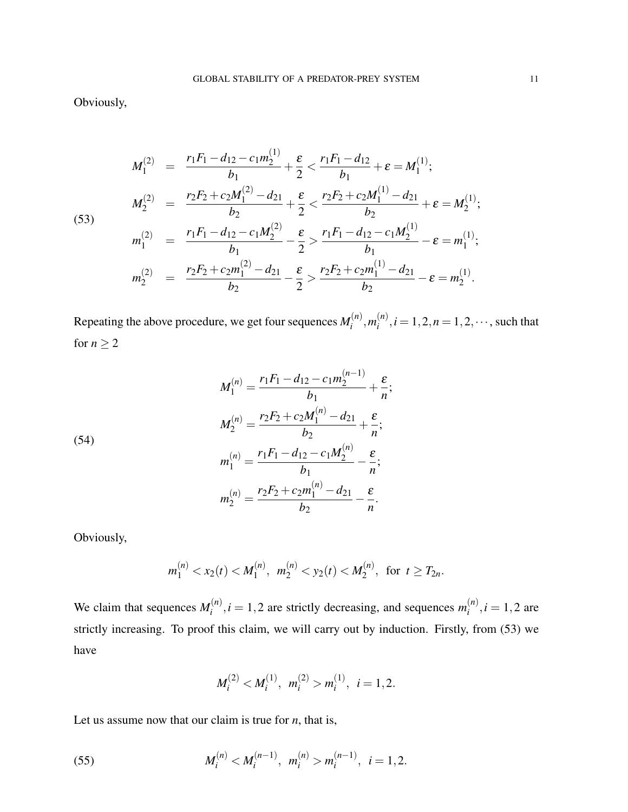Obviously,

$$
M_1^{(2)} = \frac{r_1 F_1 - d_{12} - c_1 m_2^{(1)}}{b_1} + \frac{\varepsilon}{2} < \frac{r_1 F_1 - d_{12}}{b_1} + \varepsilon = M_1^{(1)};
$$
  
\n
$$
M_2^{(2)} = \frac{r_2 F_2 + c_2 M_1^{(2)} - d_{21}}{b_2} + \frac{\varepsilon}{2} < \frac{r_2 F_2 + c_2 M_1^{(1)} - d_{21}}{b_2} + \varepsilon = M_2^{(1)};
$$
  
\n
$$
m_1^{(2)} = \frac{r_1 F_1 - d_{12} - c_1 M_2^{(2)}}{b_1} - \frac{\varepsilon}{2} > \frac{r_1 F_1 - d_{12} - c_1 M_2^{(1)}}{b_1} - \varepsilon = m_1^{(1)};
$$
  
\n
$$
m_2^{(2)} = \frac{r_2 F_2 + c_2 m_1^{(2)} - d_{21}}{b_2} - \frac{\varepsilon}{2} > \frac{r_2 F_2 + c_2 m_1^{(1)} - d_{21}}{b_2} - \varepsilon = m_2^{(1)}.
$$

(53)

Repeating the above procedure, we get four sequences 
$$
M_i^{(n)}
$$
,  $m_i^{(n)}$ ,  $i = 1, 2, n = 1, 2, \dots$ , such that for  $n \ge 2$ 

(54)  
\n
$$
M_1^{(n)} = \frac{r_1 F_1 - d_{12} - c_1 m_2^{(n-1)}}{b_1} + \frac{\varepsilon}{n};
$$
\n
$$
M_2^{(n)} = \frac{r_2 F_2 + c_2 M_1^{(n)} - d_{21}}{b_2} + \frac{\varepsilon}{n};
$$
\n
$$
m_1^{(n)} = \frac{r_1 F_1 - d_{12} - c_1 M_2^{(n)}}{b_1} - \frac{\varepsilon}{n};
$$
\n
$$
m_2^{(n)} = \frac{r_2 F_2 + c_2 m_1^{(n)} - d_{21}}{b_2} - \frac{\varepsilon}{n}.
$$

Obviously,

$$
m_1^{(n)} < x_2(t) < M_1^{(n)}, m_2^{(n)} < y_2(t) < M_2^{(n)},
$$
 for  $t \geq T_{2n}$ .

We claim that sequences  $M_i^{(n)}$  $i_n^{(n)}$ ,  $i = 1, 2$  are strictly decreasing, and sequences  $m_i^{(n)}$  $i^{(n)}$ , *i* = 1, 2 are strictly increasing. To proof this claim, we will carry out by induction. Firstly, from (53) we have

$$
M_i^{(2)} < M_i^{(1)}, m_i^{(2)} > m_i^{(1)}, i = 1, 2.
$$

Let us assume now that our claim is true for *n*, that is,

(55) 
$$
M_i^{(n)} < M_i^{(n-1)}, \ m_i^{(n)} > m_i^{(n-1)}, \ i = 1, 2.
$$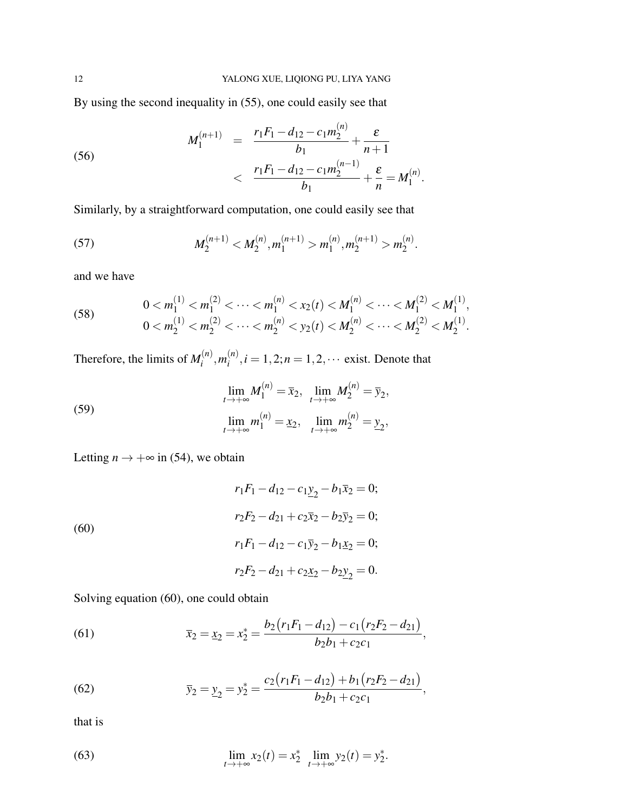By using the second inequality in (55), one could easily see that

(56) 
$$
M_1^{(n+1)} = \frac{r_1 F_1 - d_{12} - c_1 m_2^{(n)}}{b_1} + \frac{\varepsilon}{n+1} < \frac{r_1 F_1 - d_{12} - c_1 m_2^{(n-1)}}{b_1} + \frac{\varepsilon}{n} = M_1^{(n)}.
$$

Similarly, by a straightforward computation, one could easily see that

(57) 
$$
M_2^{(n+1)} < M_2^{(n)}, m_1^{(n+1)} > m_1^{(n)}, m_2^{(n+1)} > m_2^{(n)}.
$$

and we have

(58) 
$$
0 < m_1^{(1)} < m_1^{(2)} < \cdots < m_1^{(n)} < x_2(t) < M_1^{(n)} < \cdots < M_1^{(2)} < M_1^{(1)},
$$
\n
$$
0 < m_2^{(1)} < m_2^{(2)} < \cdots < m_2^{(n)} < y_2(t) < M_2^{(n)} < \cdots < M_2^{(2)} < M_2^{(1)}.
$$

Therefore, the limits of  $M_i^{(n)}$  $\binom{n}{i}$ ,  $m_i^{(n)}$  $i^{(n)}$ ,  $i = 1, 2; n = 1, 2, \cdots$  exist. Denote that

(59) 
$$
\lim_{t \to +\infty} M_1^{(n)} = \bar{x}_2, \quad \lim_{t \to +\infty} M_2^{(n)} = \bar{y}_2,
$$

$$
\lim_{t \to +\infty} m_1^{(n)} = \underline{x}_2, \quad \lim_{t \to +\infty} m_2^{(n)} = \underline{y}_2,
$$

Letting  $n \to +\infty$  in (54), we obtain

(60)  
\n
$$
r_1F_1 - d_{12} - c_1 \underline{y}_2 - b_1 \overline{x}_2 = 0;
$$
\n
$$
r_2F_2 - d_{21} + c_2 \overline{x}_2 - b_2 \overline{y}_2 = 0;
$$
\n
$$
r_1F_1 - d_{12} - c_1 \overline{y}_2 - b_1 \underline{x}_2 = 0;
$$
\n
$$
r_2F_2 - d_{21} + c_2 \underline{x}_2 - b_2 \underline{y}_2 = 0.
$$

Solving equation (60), one could obtain

(61) 
$$
\overline{x}_2 = \underline{x}_2 = x_2^* = \frac{b_2(r_1F_1 - d_{12}) - c_1(r_2F_2 - d_{21})}{b_2b_1 + c_2c_1},
$$

(62) 
$$
\overline{y}_2 = \underline{y}_2 = y_2^* = \frac{c_2(r_1F_1 - d_{12}) + b_1(r_2F_2 - d_{21})}{b_2b_1 + c_2c_1},
$$

that is

(63) 
$$
\lim_{t \to +\infty} x_2(t) = x_2^* \lim_{t \to +\infty} y_2(t) = y_2^*.
$$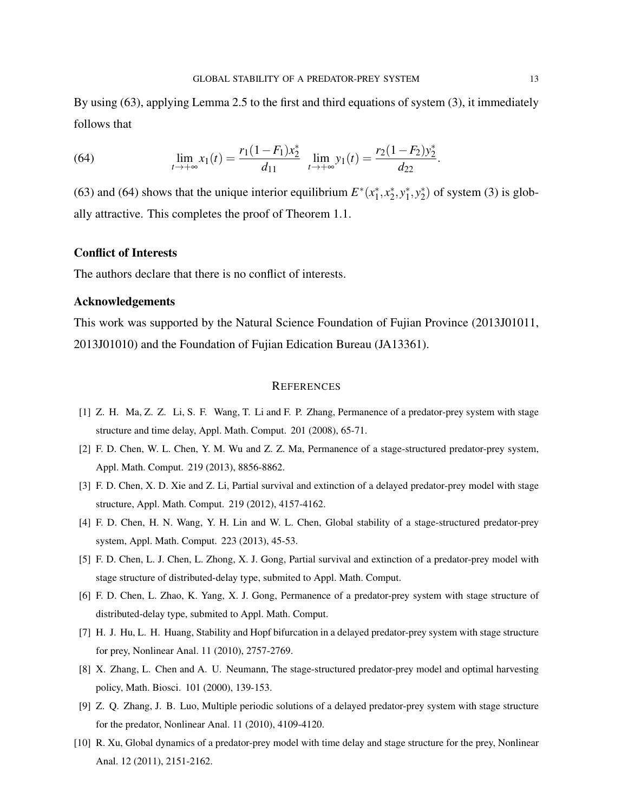By using (63), applying Lemma 2.5 to the first and third equations of system (3), it immediately follows that

(64) 
$$
\lim_{t \to +\infty} x_1(t) = \frac{r_1(1 - F_1)x_2^*}{d_{11}} \lim_{t \to +\infty} y_1(t) = \frac{r_2(1 - F_2)y_2^*}{d_{22}}.
$$

(63) and (64) shows that the unique interior equilibrium  $E^*(x_1^*)$  $x_1^*, x_2^*$  $x_2^*, y_1^*$  $j^*, y_2^*$  $_{2}^{*}$ ) of system (3) is globally attractive. This completes the proof of Theorem 1.1.

### Conflict of Interests

The authors declare that there is no conflict of interests.

#### Acknowledgements

This work was supported by the Natural Science Foundation of Fujian Province (2013J01011, 2013J01010) and the Foundation of Fujian Edication Bureau (JA13361).

#### **REFERENCES**

- [1] Z. H. Ma, Z. Z. Li, S. F. Wang, T. Li and F. P. Zhang, Permanence of a predator-prey system with stage structure and time delay, Appl. Math. Comput. 201 (2008), 65-71.
- [2] F. D. Chen, W. L. Chen, Y. M. Wu and Z. Z. Ma, Permanence of a stage-structured predator-prey system, Appl. Math. Comput. 219 (2013), 8856-8862.
- [3] F. D. Chen, X. D. Xie and Z. Li, Partial survival and extinction of a delayed predator-prey model with stage structure, Appl. Math. Comput. 219 (2012), 4157-4162.
- [4] F. D. Chen, H. N. Wang, Y. H. Lin and W. L. Chen, Global stability of a stage-structured predator-prey system, Appl. Math. Comput. 223 (2013), 45-53.
- [5] F. D. Chen, L. J. Chen, L. Zhong, X. J. Gong, Partial survival and extinction of a predator-prey model with stage structure of distributed-delay type, submited to Appl. Math. Comput.
- [6] F. D. Chen, L. Zhao, K. Yang, X. J. Gong, Permanence of a predator-prey system with stage structure of distributed-delay type, submited to Appl. Math. Comput.
- [7] H. J. Hu, L. H. Huang, Stability and Hopf bifurcation in a delayed predator-prey system with stage structure for prey, Nonlinear Anal. 11 (2010), 2757-2769.
- [8] X. Zhang, L. Chen and A. U. Neumann, The stage-structured predator-prey model and optimal harvesting policy, Math. Biosci. 101 (2000), 139-153.
- [9] Z. Q. Zhang, J. B. Luo, Multiple periodic solutions of a delayed predator-prey system with stage structure for the predator, Nonlinear Anal. 11 (2010), 4109-4120.
- [10] R. Xu, Global dynamics of a predator-prey model with time delay and stage structure for the prey, Nonlinear Anal. 12 (2011), 2151-2162.